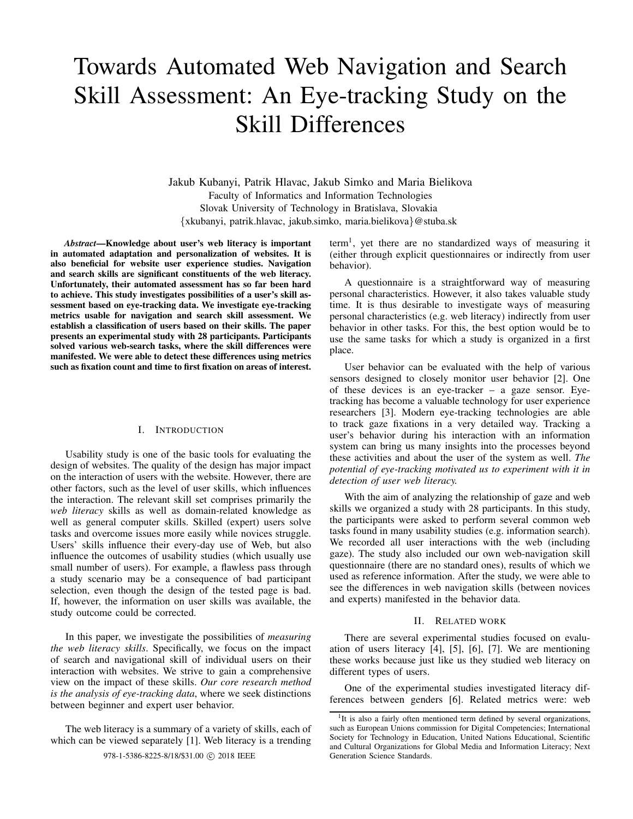# Towards Automated Web Navigation and Search Skill Assessment: An Eye-tracking Study on the Skill Differences

Jakub Kubanyi, Patrik Hlavac, Jakub Simko and Maria Bielikova Faculty of Informatics and Information Technologies Slovak University of Technology in Bratislava, Slovakia {xkubanyi, patrik.hlavac, jakub.simko, maria.bielikova}@stuba.sk

*Abstract*—Knowledge about user's web literacy is important in automated adaptation and personalization of websites. It is also beneficial for website user experience studies. Navigation and search skills are significant constituents of the web literacy. Unfortunately, their automated assessment has so far been hard to achieve. This study investigates possibilities of a user's skill assessment based on eye-tracking data. We investigate eye-tracking metrics usable for navigation and search skill assessment. We establish a classification of users based on their skills. The paper presents an experimental study with 28 participants. Participants solved various web-search tasks, where the skill differences were manifested. We were able to detect these differences using metrics such as fixation count and time to first fixation on areas of interest.

#### I. INTRODUCTION

Usability study is one of the basic tools for evaluating the design of websites. The quality of the design has major impact on the interaction of users with the website. However, there are other factors, such as the level of user skills, which influences the interaction. The relevant skill set comprises primarily the *web literacy* skills as well as domain-related knowledge as well as general computer skills. Skilled (expert) users solve tasks and overcome issues more easily while novices struggle. Users' skills influence their every-day use of Web, but also influence the outcomes of usability studies (which usually use small number of users). For example, a flawless pass through a study scenario may be a consequence of bad participant selection, even though the design of the tested page is bad. If, however, the information on user skills was available, the study outcome could be corrected.

In this paper, we investigate the possibilities of *measuring the web literacy skills*. Specifically, we focus on the impact of search and navigational skill of individual users on their interaction with websites. We strive to gain a comprehensive view on the impact of these skills. *Our core research method is the analysis of eye-tracking data*, where we seek distinctions between beginner and expert user behavior.

The web literacy is a summary of a variety of skills, each of which can be viewed separately [1]. Web literacy is a trending 978-1-5386-8225-8/18/\$31.00 C 2018 IEEE

term<sup>1</sup> , yet there are no standardized ways of measuring it (either through explicit questionnaires or indirectly from user behavior).

A questionnaire is a straightforward way of measuring personal characteristics. However, it also takes valuable study time. It is thus desirable to investigate ways of measuring personal characteristics (e.g. web literacy) indirectly from user behavior in other tasks. For this, the best option would be to use the same tasks for which a study is organized in a first place.

User behavior can be evaluated with the help of various sensors designed to closely monitor user behavior [2]. One of these devices is an eye-tracker – a gaze sensor. Eyetracking has become a valuable technology for user experience researchers [3]. Modern eye-tracking technologies are able to track gaze fixations in a very detailed way. Tracking a user's behavior during his interaction with an information system can bring us many insights into the processes beyond these activities and about the user of the system as well. *The potential of eye-tracking motivated us to experiment with it in detection of user web literacy.*

With the aim of analyzing the relationship of gaze and web skills we organized a study with 28 participants. In this study, the participants were asked to perform several common web tasks found in many usability studies (e.g. information search). We recorded all user interactions with the web (including gaze). The study also included our own web-navigation skill questionnaire (there are no standard ones), results of which we used as reference information. After the study, we were able to see the differences in web navigation skills (between novices and experts) manifested in the behavior data.

# II. RELATED WORK

There are several experimental studies focused on evaluation of users literacy [4], [5], [6], [7]. We are mentioning these works because just like us they studied web literacy on different types of users.

One of the experimental studies investigated literacy differences between genders [6]. Related metrics were: web

<sup>&</sup>lt;sup>1</sup>It is also a fairly often mentioned term defined by several organizations, such as European Unions commission for Digital Competencies; International Society for Technology in Education, United Nations Educational, Scientific and Cultural Organizations for Global Media and Information Literacy; Next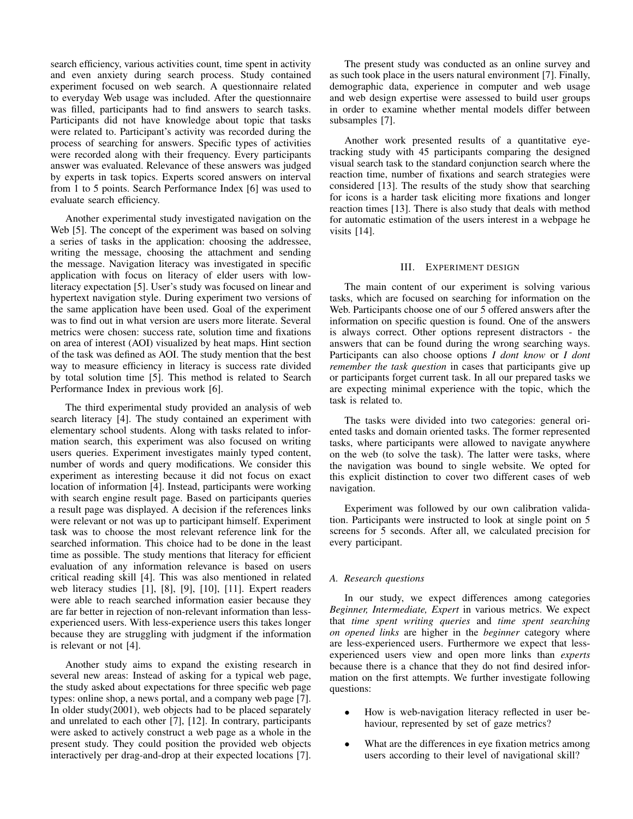search efficiency, various activities count, time spent in activity and even anxiety during search process. Study contained experiment focused on web search. A questionnaire related to everyday Web usage was included. After the questionnaire was filled, participants had to find answers to search tasks. Participants did not have knowledge about topic that tasks were related to. Participant's activity was recorded during the process of searching for answers. Specific types of activities were recorded along with their frequency. Every participants answer was evaluated. Relevance of these answers was judged by experts in task topics. Experts scored answers on interval from 1 to 5 points. Search Performance Index [6] was used to evaluate search efficiency.

Another experimental study investigated navigation on the Web [5]. The concept of the experiment was based on solving a series of tasks in the application: choosing the addressee, writing the message, choosing the attachment and sending the message. Navigation literacy was investigated in specific application with focus on literacy of elder users with lowliteracy expectation [5]. User's study was focused on linear and hypertext navigation style. During experiment two versions of the same application have been used. Goal of the experiment was to find out in what version are users more literate. Several metrics were chosen: success rate, solution time and fixations on area of interest (AOI) visualized by heat maps. Hint section of the task was defined as AOI. The study mention that the best way to measure efficiency in literacy is success rate divided by total solution time [5]. This method is related to Search Performance Index in previous work [6].

The third experimental study provided an analysis of web search literacy [4]. The study contained an experiment with elementary school students. Along with tasks related to information search, this experiment was also focused on writing users queries. Experiment investigates mainly typed content, number of words and query modifications. We consider this experiment as interesting because it did not focus on exact location of information [4]. Instead, participants were working with search engine result page. Based on participants queries a result page was displayed. A decision if the references links were relevant or not was up to participant himself. Experiment task was to choose the most relevant reference link for the searched information. This choice had to be done in the least time as possible. The study mentions that literacy for efficient evaluation of any information relevance is based on users critical reading skill [4]. This was also mentioned in related web literacy studies [1], [8], [9], [10], [11]. Expert readers were able to reach searched information easier because they are far better in rejection of non-relevant information than lessexperienced users. With less-experience users this takes longer because they are struggling with judgment if the information is relevant or not [4].

Another study aims to expand the existing research in several new areas: Instead of asking for a typical web page, the study asked about expectations for three specific web page types: online shop, a news portal, and a company web page [7]. In older study(2001), web objects had to be placed separately and unrelated to each other [7], [12]. In contrary, participants were asked to actively construct a web page as a whole in the present study. They could position the provided web objects interactively per drag-and-drop at their expected locations [7].

The present study was conducted as an online survey and as such took place in the users natural environment [7]. Finally, demographic data, experience in computer and web usage and web design expertise were assessed to build user groups in order to examine whether mental models differ between subsamples [7].

Another work presented results of a quantitative eyetracking study with 45 participants comparing the designed visual search task to the standard conjunction search where the reaction time, number of fixations and search strategies were considered [13]. The results of the study show that searching for icons is a harder task eliciting more fixations and longer reaction times [13]. There is also study that deals with method for automatic estimation of the users interest in a webpage he visits [14].

## III. EXPERIMENT DESIGN

The main content of our experiment is solving various tasks, which are focused on searching for information on the Web. Participants choose one of our 5 offered answers after the information on specific question is found. One of the answers is always correct. Other options represent distractors - the answers that can be found during the wrong searching ways. Participants can also choose options *I dont know* or *I dont remember the task question* in cases that participants give up or participants forget current task. In all our prepared tasks we are expecting minimal experience with the topic, which the task is related to.

The tasks were divided into two categories: general oriented tasks and domain oriented tasks. The former represented tasks, where participants were allowed to navigate anywhere on the web (to solve the task). The latter were tasks, where the navigation was bound to single website. We opted for this explicit distinction to cover two different cases of web navigation.

Experiment was followed by our own calibration validation. Participants were instructed to look at single point on 5 screens for 5 seconds. After all, we calculated precision for every participant.

# *A. Research questions*

In our study, we expect differences among categories *Beginner, Intermediate, Expert* in various metrics. We expect that *time spent writing queries* and *time spent searching on opened links* are higher in the *beginner* category where are less-experienced users. Furthermore we expect that lessexperienced users view and open more links than *experts* because there is a chance that they do not find desired information on the first attempts. We further investigate following questions:

- How is web-navigation literacy reflected in user behaviour, represented by set of gaze metrics?
- What are the differences in eye fixation metrics among users according to their level of navigational skill?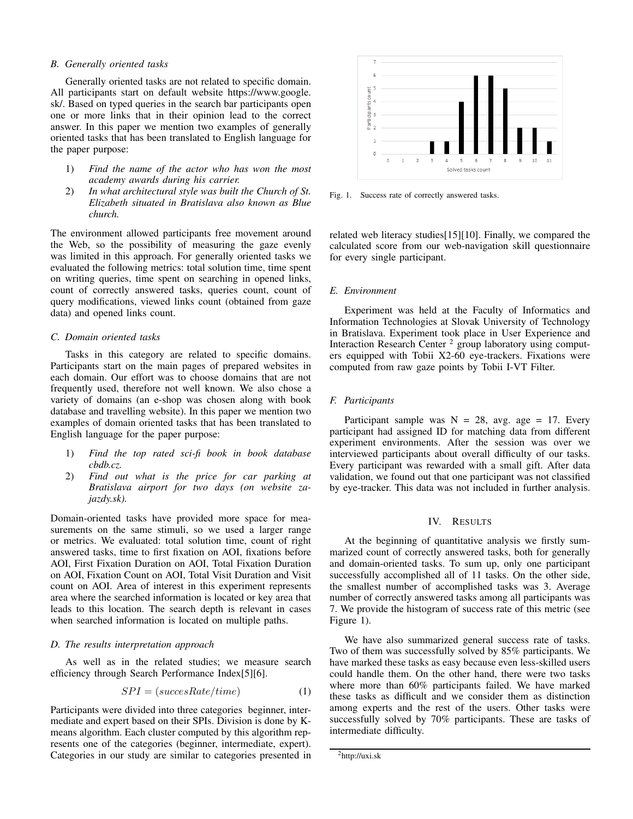# *B. Generally oriented tasks*

Generally oriented tasks are not related to specific domain. All participants start on default website https://www.google. sk/. Based on typed queries in the search bar participants open one or more links that in their opinion lead to the correct answer. In this paper we mention two examples of generally oriented tasks that has been translated to English language for the paper purpose:

- 1) *Find the name of the actor who has won the most academy awards during his carrier.*
- 2) *In what architectural style was built the Church of St. Elizabeth situated in Bratislava also known as Blue church.*

The environment allowed participants free movement around the Web, so the possibility of measuring the gaze evenly was limited in this approach. For generally oriented tasks we evaluated the following metrics: total solution time, time spent on writing queries, time spent on searching in opened links, count of correctly answered tasks, queries count, count of query modifications, viewed links count (obtained from gaze data) and opened links count.

# *C. Domain oriented tasks*

Tasks in this category are related to specific domains. Participants start on the main pages of prepared websites in each domain. Our effort was to choose domains that are not frequently used, therefore not well known. We also chose a variety of domains (an e-shop was chosen along with book database and travelling website). In this paper we mention two examples of domain oriented tasks that has been translated to English language for the paper purpose:

- 1) *Find the top rated sci-fi book in book database cbdb.cz.*
- 2) *Find out what is the price for car parking at Bratislava airport for two days (on website zajazdy.sk).*

Domain-oriented tasks have provided more space for measurements on the same stimuli, so we used a larger range or metrics. We evaluated: total solution time, count of right answered tasks, time to first fixation on AOI, fixations before AOI, First Fixation Duration on AOI, Total Fixation Duration on AOI, Fixation Count on AOI, Total Visit Duration and Visit count on AOI. Area of interest in this experiment represents area where the searched information is located or key area that leads to this location. The search depth is relevant in cases when searched information is located on multiple paths.

# *D. The results interpretation approach*

As well as in the related studies; we measure search efficiency through Search Performance Index[5][6].

$$
SPI = (successRate/time)
$$
 (1)

Participants were divided into three categories beginner, intermediate and expert based on their SPIs. Division is done by Kmeans algorithm. Each cluster computed by this algorithm represents one of the categories (beginner, intermediate, expert). Categories in our study are similar to categories presented in



Fig. 1. Success rate of correctly answered tasks.

related web literacy studies[15][10]. Finally, we compared the calculated score from our web-navigation skill questionnaire for every single participant.

## *E. Environment*

Experiment was held at the Faculty of Informatics and Information Technologies at Slovak University of Technology in Bratislava. Experiment took place in User Experience and Interaction Research Center<sup>2</sup> group laboratory using computers equipped with Tobii X2-60 eye-trackers. Fixations were computed from raw gaze points by Tobii I-VT Filter.

#### *F. Participants*

Participant sample was  $N = 28$ , avg. age = 17. Every participant had assigned ID for matching data from different experiment environments. After the session was over we interviewed participants about overall difficulty of our tasks. Every participant was rewarded with a small gift. After data validation, we found out that one participant was not classified by eye-tracker. This data was not included in further analysis.

### IV. RESULTS

At the beginning of quantitative analysis we firstly summarized count of correctly answered tasks, both for generally and domain-oriented tasks. To sum up, only one participant successfully accomplished all of 11 tasks. On the other side, the smallest number of accomplished tasks was 3. Average number of correctly answered tasks among all participants was 7. We provide the histogram of success rate of this metric (see Figure 1).

We have also summarized general success rate of tasks. Two of them was successfully solved by 85% participants. We have marked these tasks as easy because even less-skilled users could handle them. On the other hand, there were two tasks where more than 60% participants failed. We have marked these tasks as difficult and we consider them as distinction among experts and the rest of the users. Other tasks were successfully solved by 70% participants. These are tasks of intermediate difficulty.

<sup>2</sup>http://uxi.sk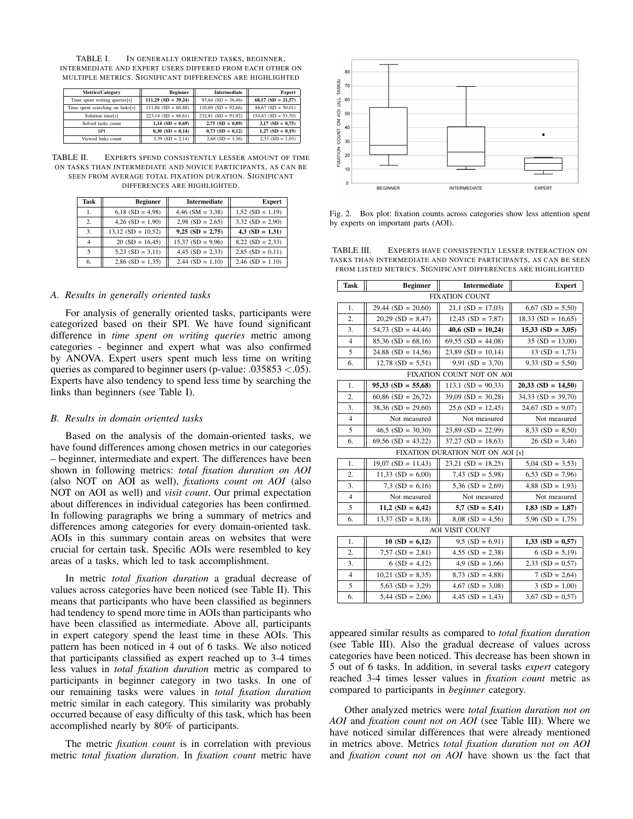TABLE I. IN GENERALLY ORIENTED TASKS, BEGINNER, INTERMEDIATE AND EXPERT USERS DIFFERED FROM EACH OTHER ON MULTIPLE METRICS. SIGNIFICANT DIFFERENCES ARE HIGHLIGHTED

| <b>Metrics/Category</b>          | <b>Beginner</b>       | Intermediate          | <b>Expert</b>         |
|----------------------------------|-----------------------|-----------------------|-----------------------|
| Time spent writing queries[s]    | $111.29$ (SD = 39.24) | $93,64$ (SD = 36,46)  | $68,17$ (SD = 21,57)  |
| Time spent searching on links[s] | $111.86$ (SD = 60.88) | $110.69$ (SD = 92.66) | $86,67$ (SD = 50,01)  |
| Solution time[s]                 | $223.14$ (SD = 86.61) | $232,81$ (SD = 91.92) | $154.83$ (SD = 53.70) |
| Solved tasks count               | $1.14$ (SD = 0.69)    | $2,75$ (SD = 0.89)    | $3,17$ (SD = 0,75)    |
| <b>SPI</b>                       | $0.30$ (SD = 0.14)    | $0.73$ (SD = 0.12)    | $1.27$ (SD = 0.19)    |
| Viewed links count               | $3,39(SD = 2,14)$     | $2,68$ (SD = 1,36)    | $2.33(SD = 1.03)$     |

TABLE II. EXPERTS SPEND CONSISTENTLY LESSER AMOUNT OF TIME ON TASKS THAN INTERMEDIATE AND NOVICE PARTICIPANTS, AS CAN BE SEEN FROM AVERAGE TOTAL FIXATION DURATION. SIGNIFICANT DIFFERENCES ARE HIGHLIGHTED.

| <b>Task</b> | <b>Beginner</b>      | <b>Intermediate</b> | <b>Expert</b>      |
|-------------|----------------------|---------------------|--------------------|
| 1.          | $6,18$ (SD = 4,98)   | $4,46$ (SM = 3,38)  | $1,52$ (SD = 1,19) |
| 2.          | $4,26(SD = 1,90)$    | $2.98$ (SD = 2.65)  | $3,32$ (SD = 2,90) |
| 3.          | $13,12$ (SD = 10,52) | $9,25$ (SD = 2,75)  | $4,3$ (SD = 1,31)  |
|             | $20(SD = 16,45)$     | $15,37(SD = 9,96)$  | $8,22(SD = 2,33)$  |
|             | $5,23(SD = 3,11)$    | $4,45$ (SD = 2,33)  | $2,85$ (SD = 0,11) |
| 6.          | $2,86(SD = 1,35)$    | $2,44$ (SD = 1,10)  | $2,46$ (SD = 1.10) |

## *A. Results in generally oriented tasks*

For analysis of generally oriented tasks, participants were categorized based on their SPI. We have found significant difference in *time spent on writing queries* metric among categories - beginner and expert what was also confirmed by ANOVA. Expert users spent much less time on writing queries as compared to beginner users (p-value:  $.035853 < .05$ ). Experts have also tendency to spend less time by searching the links than beginners (see Table I).

#### *B. Results in domain oriented tasks*

Based on the analysis of the domain-oriented tasks, we have found differences among chosen metrics in our categories – beginner, intermediate and expert. The differences have been shown in following metrics: *total fixation duration on AOI* (also NOT on AOI as well), *fixations count on AOI* (also NOT on AOI as well) and *visit count*. Our primal expectation about differences in individual categories has been confirmed. In following paragraphs we bring a summary of metrics and differences among categories for every domain-oriented task. AOIs in this summary contain areas on websites that were crucial for certain task. Specific AOIs were resembled to key areas of a tasks, which led to task accomplishment.

In metric *total fixation duration* a gradual decrease of values across categories have been noticed (see Table II). This means that participants who have been classified as beginners had tendency to spend more time in AOIs than participants who have been classified as intermediate. Above all, participants in expert category spend the least time in these AOIs. This pattern has been noticed in 4 out of 6 tasks. We also noticed that participants classified as expert reached up to 3-4 times less values in *total fixation duration* metric as compared to participants in beginner category in two tasks. In one of our remaining tasks were values in *total fixation duration* metric similar in each category. This similarity was probably occurred because of easy difficulty of this task, which has been accomplished nearly by 80% of participants.

The metric *fixation count* is in correlation with previous metric *total fixation duration*. In *fixation count* metric have



Fig. 2. Box plot: fixation counts across categories show less attention spent by experts on important parts (AOI).

TABLE III. EXPERTS HAVE CONSISTENTLY LESSER INTERACTION ON TASKS THAN INTERMEDIATE AND NOVICE PARTICIPANTS, AS CAN BE SEEN FROM LISTED METRICS. SIGNIFICANT DIFFERENCES ARE HIGHLIGHTED

| <b>Task</b>     | <b>Beginner</b>      | <b>Intermediate</b>              | <b>Expert</b>        |
|-----------------|----------------------|----------------------------------|----------------------|
|                 |                      | <b>FIXATION COUNT</b>            |                      |
| 1.              | $29,44$ (SD = 20,60) | $21,1$ (SD = 17,03)              | $6,67$ (SD = 5,50)   |
| 2.              | $20,29$ (SD = 8,47)  | $12.45$ (SD = 7,87)              | $18,33$ (SD = 16,65) |
| 3.              | $54,73$ (SD = 44,46) | $40,6$ (SD = 10,24)              | $15,33$ (SD = 3,05)  |
| $\overline{4}$  | $85,36(SD = 68,16)$  | $69,55(SD = 44,08)$              | $35(SD = 13,00)$     |
| 5               | $24,88$ (SD = 14,56) | $23,89$ (SD = 10,14)             | $13(SD = 1,73)$      |
| 6.              | $12,78$ (SD = 5,51)  | $9.91$ (SD = 3.70)               | $9,33(SD = 5,50)$    |
|                 |                      | FIXATION COUNT NOT ON AOI        |                      |
| 1.              | $95,33$ (SD = 55,68) | $113,1$ (SD = 90,33)             | $20,33$ (SD = 14,50) |
| 2.              | $60,86$ (SD = 26,72) | $39,09$ (SD = 30,28)             | $34,33(SD = 39,70)$  |
| 3.              | $38,36$ (SD = 29,60) | $25.6$ (SD = 12,45)              | $24,67$ (SD = 9,07)  |
| $\overline{4}$  | Not measured         | Not measured                     | Not measured         |
| 5               | $46,5 (SD = 30,30)$  | $23,89$ (SD = 22,99)             | $8,33(SD = 8,50)$    |
| 6.              | $69,56(SD = 43,22)$  | $37,27(SD = 18,63)$              | $26(SD = 3,46)$      |
|                 |                      | FIXATION DURATION NOT ON AOI [s] |                      |
| 1.              | $19,07$ (SD = 11,43) | $23,21$ (SD = 18,25)             | $5,04$ (SD = 3.53)   |
| 2.              | $11,33(SD = 6,00)$   | $7,43$ (SD = 5.98)               | $6,53(SD = 7,96)$    |
| 3.              | $7.3(SD = 6,16)$     | $5,36(SD = 2,69)$                | $4,88$ (SD = 1,93)   |
| $\overline{4}$  | Not measured         | Not measured                     | Not measured         |
| 5               | $11,2$ (SD = 6,42)   | $5,7$ (SD = 5,41)                | $1,83$ (SD = 1,87)   |
| 6.              | $13,37$ (SD = 8,18)  | $8,08$ (SD = 4,56)               | $5.96$ (SD = 1,75)   |
| AOI VISIT COUNT |                      |                                  |                      |
| 1.              | $10(SD = 6,12)$      | $9.5(SD = 6.91)$                 | $1,33$ (SD = 0.57)   |
| 2.              | $7,57(SD = 2,81)$    | $4,55(SD = 2,38)$                | $6(SD = 5,19)$       |
| 3.              | $6(SD = 4,12)$       | $4.9$ (SD = 1.66)                | $2,33(SD = 0.57)$    |
| $\overline{4}$  | $10,21$ (SD = 8,35)  | $8,73$ (SD = 4,88)               | $7(SD = 2,64)$       |
| 5               | $5,63$ (SD = 3,29)   | $4,67$ (SD = 3,08)               | $3(SD = 1,00)$       |
| 6.              | $5,44$ (SD = 2,06)   | $4,45$ (SD = 1,43)               | $3,67$ (SD = 0.57)   |

appeared similar results as compared to *total fixation duration* (see Table III). Also the gradual decrease of values across categories have been noticed. This decrease has been shown in 5 out of 6 tasks. In addition, in several tasks *expert* category reached 3-4 times lesser values in *fixation count* metric as compared to participants in *beginner* category.

Other analyzed metrics were *total fixation duration not on AOI* and *fixation count not on AOI* (see Table III). Where we have noticed similar differences that were already mentioned in metrics above. Metrics *total fixation duration not on AOI* and *fixation count not on AOI* have shown us the fact that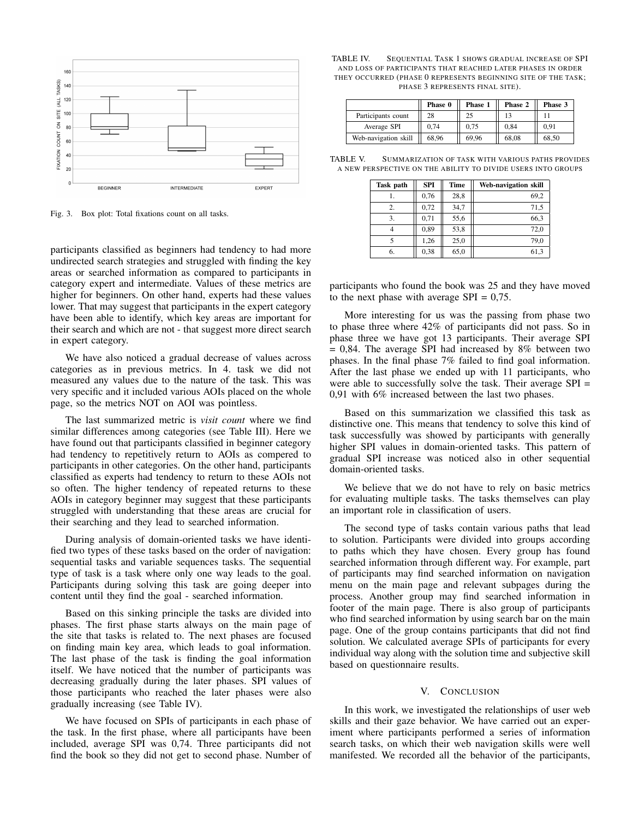

Fig. 3. Box plot: Total fixations count on all tasks.

participants classified as beginners had tendency to had more undirected search strategies and struggled with finding the key areas or searched information as compared to participants in category expert and intermediate. Values of these metrics are higher for beginners. On other hand, experts had these values lower. That may suggest that participants in the expert category have been able to identify, which key areas are important for their search and which are not - that suggest more direct search in expert category.

We have also noticed a gradual decrease of values across categories as in previous metrics. In 4. task we did not measured any values due to the nature of the task. This was very specific and it included various AOIs placed on the whole page, so the metrics NOT on AOI was pointless.

The last summarized metric is *visit count* where we find similar differences among categories (see Table III). Here we have found out that participants classified in beginner category had tendency to repetitively return to AOIs as compered to participants in other categories. On the other hand, participants classified as experts had tendency to return to these AOIs not so often. The higher tendency of repeated returns to these AOIs in category beginner may suggest that these participants struggled with understanding that these areas are crucial for their searching and they lead to searched information.

During analysis of domain-oriented tasks we have identified two types of these tasks based on the order of navigation: sequential tasks and variable sequences tasks. The sequential type of task is a task where only one way leads to the goal. Participants during solving this task are going deeper into content until they find the goal - searched information.

Based on this sinking principle the tasks are divided into phases. The first phase starts always on the main page of the site that tasks is related to. The next phases are focused on finding main key area, which leads to goal information. The last phase of the task is finding the goal information itself. We have noticed that the number of participants was decreasing gradually during the later phases. SPI values of those participants who reached the later phases were also gradually increasing (see Table IV).

We have focused on SPIs of participants in each phase of the task. In the first phase, where all participants have been included, average SPI was 0,74. Three participants did not find the book so they did not get to second phase. Number of

| TABLE IV. | SEQUENTIAL TASK 1 SHOWS GRADUAL INCREASE OF SPI               |
|-----------|---------------------------------------------------------------|
|           | AND LOSS OF PARTICIPANTS THAT REACHED LATER PHASES IN ORDER   |
|           | THEY OCCURRED (PHASE 0 REPRESENTS BEGINNING SITE OF THE TASK; |
|           | PHASE 3 REPRESENTS FINAL SITE).                               |

|                      | Phase 0 | Phase 1 | Phase 2 | Phase 3 |
|----------------------|---------|---------|---------|---------|
| Participants count   | 28      | 25      |         |         |
| Average SPI          | 0.74    | 0.75    | 0.84    | 0.91    |
| Web-navigation skill | 68.96   | 69.96   | 68.08   | 68,50   |

TABLE V. SUMMARIZATION OF TASK WITH VARIOUS PATHS PROVIDES A NEW PERSPECTIVE ON THE ABILITY TO DIVIDE USERS INTO GROUPS

| Task path | <b>SPI</b> | Time | Web-navigation skill |
|-----------|------------|------|----------------------|
|           | 0,76       | 28,8 | 69,2                 |
| 2.        | 0,72       | 34,7 | 71,5                 |
| 3.        | 0,71       | 55,6 | 66,3                 |
|           | 0,89       | 53,8 | 72,0                 |
|           | 1,26       | 25,0 | 79,0                 |
| 6.        | 0,38       | 65,0 | 61,3                 |

participants who found the book was 25 and they have moved to the next phase with average  $SPI = 0.75$ .

More interesting for us was the passing from phase two to phase three where 42% of participants did not pass. So in phase three we have got 13 participants. Their average SPI  $= 0.84$ . The average SPI had increased by 8% between two phases. In the final phase 7% failed to find goal information. After the last phase we ended up with 11 participants, who were able to successfully solve the task. Their average SPI = 0,91 with 6% increased between the last two phases.

Based on this summarization we classified this task as distinctive one. This means that tendency to solve this kind of task successfully was showed by participants with generally higher SPI values in domain-oriented tasks. This pattern of gradual SPI increase was noticed also in other sequential domain-oriented tasks.

We believe that we do not have to rely on basic metrics for evaluating multiple tasks. The tasks themselves can play an important role in classification of users.

The second type of tasks contain various paths that lead to solution. Participants were divided into groups according to paths which they have chosen. Every group has found searched information through different way. For example, part of participants may find searched information on navigation menu on the main page and relevant subpages during the process. Another group may find searched information in footer of the main page. There is also group of participants who find searched information by using search bar on the main page. One of the group contains participants that did not find solution. We calculated average SPIs of participants for every individual way along with the solution time and subjective skill based on questionnaire results.

# V. CONCLUSION

In this work, we investigated the relationships of user web skills and their gaze behavior. We have carried out an experiment where participants performed a series of information search tasks, on which their web navigation skills were well manifested. We recorded all the behavior of the participants,